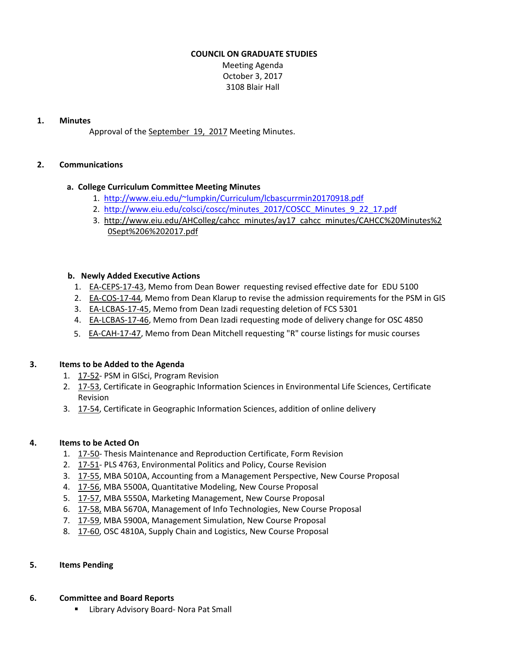#### **COUNCIL ON GRADUATE STUDIES**

Meeting Agenda October 3, 2017 3108 Blair Hall

#### **1. Minutes**

Approval of the [September](http://castle.eiu.edu/eiucgs/currentminutes/Minutes9-19-17.pdf) 19, 2017 Meeting Minutes.

### **2. Communications**

#### **a. College Curriculum Committee Meeting Minutes**

- 1. <http://www.eiu.edu/~lumpkin/Curriculum/lcbascurrmin20170918.pdf>
- 2. [http://www.eiu.edu/colsci/coscc/minutes\\_2017/COSCC\\_Minutes\\_9\\_22\\_17.pdf](http://www.eiu.edu/colsci/coscc/minutes_2017/COSCC_Minutes_9_22_17.pdf)
- 3. [http://www.eiu.edu/AHColleg/cahcc\\_minutes/ay17\\_cahcc\\_minutes/CAHCC%20Minutes%2](http://www.eiu.edu/AHColleg/cahcc_minutes/ay17_cahcc_minutes/CAHCC%20Minutes%20Sept%206%202017.pdf) 0Sept%206%202017.pdf

#### **b. Newly Added Executive Actions**

- 1. EA‐[CEPS](http://castle.eiu.edu/eiucgs/exec-actions/EA-CEPS-17-43.pdf)‐17‐43, Memo from Dean Bower requesting revised effective date for EDU 5100
- 2. EA-[COS](http://castle.eiu.edu/eiucgs/exec-actions/EA-COS-17-44.pdf)-17-44, Memo from Dean Klarup to revise the admission requirements for the PSM in GIS
- 3. EA-[LCBAS](http://castle.eiu.edu/eiucgs/exec-actions/EA-LCBAS-17-45.pdf)-17-45, Memo from Dean Izadi requesting deletion of FCS 5301
- 4. EA‐[LCBAS](http://castle.eiu.edu/eiucgs/exec-actions/EA-LCBAS-17-46.pdf)‐17‐46, Memo from Dean Izadi requesting mode of delivery change for OSC 4850
- 5. EA-[CAH](http://castle.eiu.edu/eiucgs/exec-actions/EA-CAH-17-47.pdf)-17-47, Memo from Dean Mitchell requesting "R" course listings for music courses

#### **3. Items to be Added to the Agenda**

- 1. [17](http://castle.eiu.edu/eiucgs/currentagendaitems/agenda17-52.pdf)‐52‐ PSM in GISci, Program Revision
- 2. 17-[53,](http://castle.eiu.edu/eiucgs/currentagendaitems/agenda17-53.pdf) Certificate in Geographic Information Sciences in Environmental Life Sciences, Certificate Revision
- 3. [17](http://castle.eiu.edu/eiucgs/currentagendaitems/agenda17-54.pdf)-54, Certificate in Geographic Information Sciences, addition of online delivery

#### **4. Items to be Acted On**

- 1. [17](http://castle.eiu.edu/eiucgs/currentagendaitems/agenda17-50.pdf)-50- Thesis Maintenance and Reproduction Certificate, Form Revision
- 2. [17](http://castle.eiu.edu/eiucgs/currentagendaitems/agenda17-51.pdf)‐51‐ PLS 4763, Environmental Politics and Policy, Course Revision
- 3. [17](http://castle.eiu.edu/eiucgs/currentagendaitems/agenda17-55.pdf)‐55, MBA 5010A, Accounting from a Management Perspective, New Course Proposal
- 4. [17](http://castle.eiu.edu/eiucgs/currentagendaitems/agenda17-56.pdf)‐56, MBA 5500A, Quantitative Modeling, New Course Proposal
- 5. 17-[57,](http://castle.eiu.edu/eiucgs/currentagendaitems/agenda17-57.pdf) MBA 5550A, Marketing Management, New Course Proposal
- 6. [17](http://castle.eiu.edu/eiucgs/currentagendaitems/agenda17-58.pdf)‐58, MBA 5670A, Management of Info Technologies, New Course Proposal
- 7. [17](http://castle.eiu.edu/eiucgs/currentagendaitems/agenda17-59.pdf)‐59, MBA 5900A, Management Simulation, New Course Proposal
- 8. [17](http://castle.eiu.edu/eiucgs/currentagendaitems/agenda17-60.pdf)-60, OSC 4810A, Supply Chain and Logistics, New Course Proposal

#### **5. Items Pending**

#### **6. Committee and Board Reports**

■ Library Advisory Board- Nora Pat Small